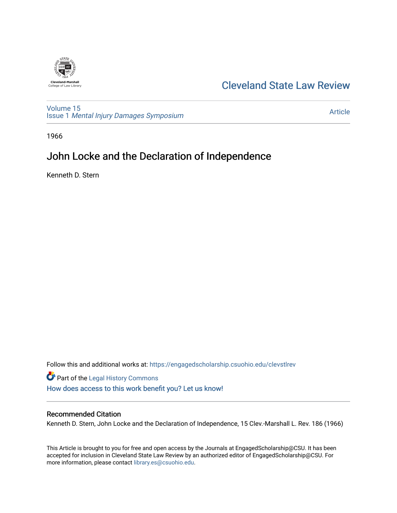

# [Cleveland State Law Review](https://engagedscholarship.csuohio.edu/clevstlrev)

[Volume 15](https://engagedscholarship.csuohio.edu/clevstlrev/vol15) Issue 1 [Mental Injury Damages Symposium](https://engagedscholarship.csuohio.edu/clevstlrev/vol15/iss1) 

[Article](https://engagedscholarship.csuohio.edu/clevstlrev/vol15/iss1/19) 

1966

# John Locke and the Declaration of Independence

Kenneth D. Stern

Follow this and additional works at: [https://engagedscholarship.csuohio.edu/clevstlrev](https://engagedscholarship.csuohio.edu/clevstlrev?utm_source=engagedscholarship.csuohio.edu%2Fclevstlrev%2Fvol15%2Fiss1%2F19&utm_medium=PDF&utm_campaign=PDFCoverPages)

Part of the [Legal History Commons](http://network.bepress.com/hgg/discipline/904?utm_source=engagedscholarship.csuohio.edu%2Fclevstlrev%2Fvol15%2Fiss1%2F19&utm_medium=PDF&utm_campaign=PDFCoverPages) [How does access to this work benefit you? Let us know!](http://library.csuohio.edu/engaged/)

### Recommended Citation

Kenneth D. Stern, John Locke and the Declaration of Independence, 15 Clev.-Marshall L. Rev. 186 (1966)

This Article is brought to you for free and open access by the Journals at EngagedScholarship@CSU. It has been accepted for inclusion in Cleveland State Law Review by an authorized editor of EngagedScholarship@CSU. For more information, please contact [library.es@csuohio.edu](mailto:library.es@csuohio.edu).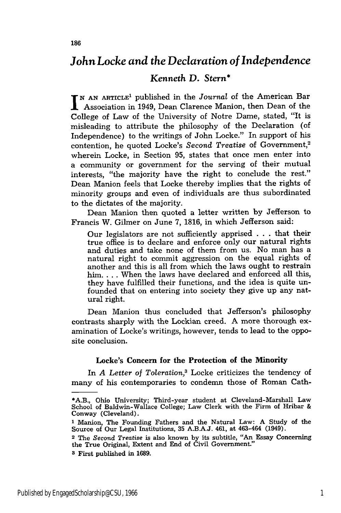## *John Locke and the Declaration of Independence*

### *Kenneth* **D.** *Stern\**

*<sup>N</sup>***AN ARTICLE<sup>1</sup>**published in the *Journal* of the American Bar Association in 1949, Dean Clarence Manion, then Dean of the College of Law of the University of Notre Dame, stated, "It is misleading to attribute the philosophy of the Declaration (of Independence) to the writings of John Locke." In support of his contention, he quoted Locke's *Second Treatise* of Government,<sup>2</sup> wherein Locke, in Section 95, states that once men enter into a community or government for the serving of their mutual interests, "the majority have the right to conclude the rest." Dean Manion feels that Locke thereby implies that the rights of minority groups and even of individuals are thus subordinated to the dictates of the majority.

Dean Manion then quoted a letter written by Jefferson to Francis W. Gilmer on June 7, 1816, in which Jefferson said:

Our legislators are not sufficiently apprised . . . that their true office is to declare and enforce only our natural rights and duties and take none of them from us. No man has a natural right to commit aggression on the equal rights of another and this is all from which the laws ought to restrain him. . **.** . When the laws have declared and enforced all this, they have fulfilled their functions, and the idea is quite unfounded that on entering into society they give up any natural right.

Dean Manion thus concluded that Jefferson's philosophy contrasts sharply with the Lockian creed. A more thorough examination of Locke's writings, however, tends to lead to the opposite conclusion.

#### **Locke's Concern for the Protection of the Minority**

In *A Letter of Toleration,3* Locke criticizes the tendency of many of his contemporaries to condemn those of Roman Cath-

<sup>\*</sup>A.B., Ohio University; Third-year student at Cleveland-Marshall Law School of Baldwin-Wallace College; Law Clerk with the Firm of Hribar & Conway (Cleveland).

**<sup>1</sup>** Manion, The Founding Fathers and the Natural Law: A Study of the Source of Our Legal Institutions, **35** A.B.A.J. 461, at 463-464 (1949).

**<sup>2</sup>** The Second *Treatise* is also known by its subtitle, "An Essay Concerning the True Original, Extent and End of Civil Government."

**<sup>3</sup>** First published in 1689.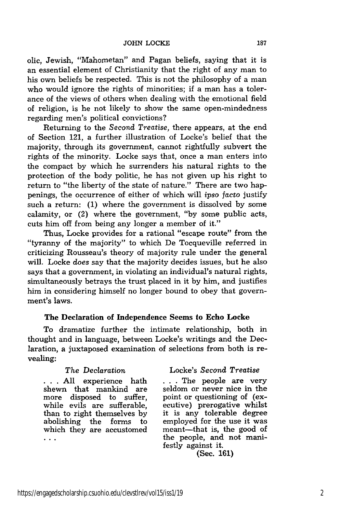olic, Jewish, "Mahometan" and Pagan beliefs, saying that it is an essential element of Christianity that the right of any man to his own beliefs be respected. This is not the philosophy of a man who would ignore the rights of minorities; if a man has a tolerance of the views of others when dealing with the emotional field of religion, is he not likely to show the same open-mindedness regarding men's political convictions?

Returning to the *Second Treatise,* there appears, at the end of Section 121, a further illustration of Locke's belief that the majority, through its government, cannot rightfully subvert the rights of the minority. Locke says that, once a man enters into the compact by which he surrenders his natural rights to the protection of the body politic, he has not given up his right to return to "the liberty of the state of nature." There are two happenings, the occurrence of either of which will *ipso* facto justify such a return: (1) where the government is dissolved by some calamity, or (2) where the government, "by some public acts, cuts him off from being any longer a member of it."

Thus, Locke provides for a rational "escape route" from the "tyranny of the majority" to which De Tocqueville referred in criticizing Rousseau's theory of majority rule under the general will. Locke *does* say that the majority decides issues, but he also says that a government, in violating an individual's natural rights, simultaneously betrays the trust placed in it by him, and justifies him in considering himself no longer bound to obey that government's laws.

#### **The Declaration of Independence Seems to Echo Locke**

To dramatize further the intimate relationship, both in thought and in language, between Locke's writings and the Declaration, a juxtaposed examination of selections from both is revealing:

shewn that mankind are  $\ddotsc$ 

#### The *Declaration* Locke's *Second Treatise*

... All experience hath ... The people are very<br>shewn that mankind are seldom or never nice in the more disposed to suffer, point or questioning of (exwhile evils are sufferable, ecutive) prerogative whilst than to right themselves by it is any tolerable degree abolishing the forms to employed for the use it was which they are accustomed meant—that is, the good of the people, and not manifestly against it.

(Sec. 161)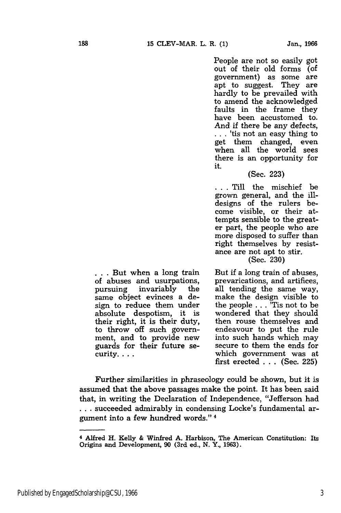People are not so easily got out of their old forms (of government) as some are apt to suggest. They are hardly to be prevailed with to amend the acknowledged faults in the frame they have been accustomed to. And if there be any defects, **. .** . 'tis not an easy thing to get them changed, even when all the world sees there is an opportunity for it.

#### (Sec. 223)

**...** Till the mischief be grown general, and the illdesigns of the rulers become visible, or their attempts sensible to the greater part, the people who are more disposed to suffer than right themselves by resistance are not apt to stir.

(Sec. 230)

But if a long train of abuses, prevarications, and artifices, all tending the same way, make the design visible to the people . . . 'Tis not to be wondered that they should then rouse themselves and endeavour to put the rule into such hands which may secure to them the ends for which government was at first erected . . . (Sec. 225)

Further similarities in phraseology could be shown, but it is assumed that the above passages make the point. It has been said that, in writing the Declaration of Independence, "Jefferson had **...** succeeded admirably in condensing Locke's fundamental argument into a few hundred words." 4

**. . .** But when a long train of abuses and usurpations, pursuing invariably the same object evinces a design to reduce them under absolute despotism, it is their right, it is their duty, to throw off such government, and to provide new guards for their future se-

curity....

<sup>4</sup>Alfred H. Kelly & Winfred **A.** Harbison, The American Constitution: Its Origins and Development, 90 (3rd ed., **N.** Y., 1963).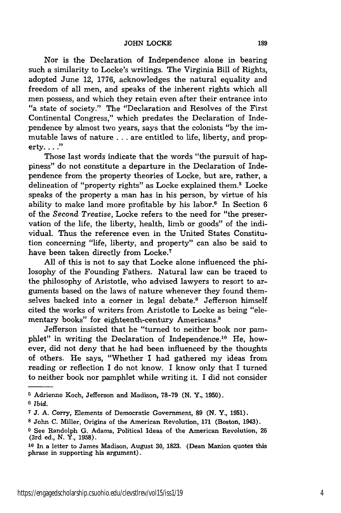Nor is the Declaration of Independence alone in bearing such a similarity to Locke's writings. The Virginia Bill of Rights, adopted June 12, 1776, acknowledges the natural equality and freedom of all men, and speaks of the inherent rights which all men possess, and which they retain even after their entrance into "a state of society." The "Declaration and Resolves of the First Continental Congress," which predates the Declaration of Independence by almost two years, says that the colonists "by the immutable laws of nature **...** are entitled to life, liberty, and property. **.. "**

Those last words indicate that the words "the pursuit of happiness" do not constitute a departure in the Declaration of Independence from the property theories of Locke, but are, rather, a delineation of "property rights" as Locke explained them.<sup>5</sup> Locke speaks of the property a man has in his person, by virtue of his ability to make land more profitable by his labor.<sup>6</sup> In Section 6 of the Second *Treatise,* Locke refers to the need for "the preservation of the life, the liberty, health, limb or goods" of the individual. Thus the reference even in the United States Constitution concerning "life, liberty, and property" can also be said to have been taken directly from Locke.<sup>7</sup>

All of this is not to say that Locke alone influenced the philosophy of the Founding Fathers. Natural law can be traced to the philosophy of Aristotle, who advised lawyers to resort to arguments based on the laws of nature whenever they found themselves backed into a corner in legal debate.<sup>8</sup> Jefferson himself cited the works of writers from Aristotle to Locke as being "elementary books" for eighteenth-century Americans.<sup>9</sup>

Jefferson insisted that he "turned to neither book nor pamphlet" in writing the Declaration of Independence.<sup>10</sup> He, however, did not deny that he had been influenced by the thoughts of others. He says, "Whether I had gathered my ideas from reading or reflection I do not know. I know only that I turned to neither book nor pamphlet while writing it. I did not consider

<sup>&</sup>lt;sup>5</sup> Adrienne Koch, Jefferson and Madison, 78-79 (N. Y., 1950). **6** *Ibid.*

**<sup>7</sup>**J. **A.** Corry, Elements of Democratic Government, **89 (N.** Y., 1951).

**<sup>8</sup>** John C. Miller, Origins of the American Revolution, **171** (Boston, 1943).

**<sup>9</sup>** See Randolph G. Adams, Political Ideas of the American Revolution, 26 (3rd ed., N. Y., 1958).

**<sup>10</sup>**In a letter to James Madison, August **30,** 1823. (Dean Manion quotes this phrase in supporting his argument).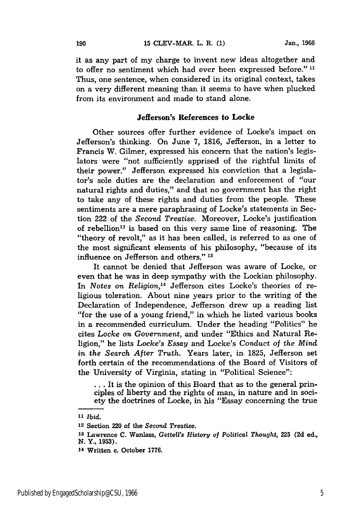it as any part of my charge to invent new ideas altogether and to offer no sentiment which had ever been expressed before."<sup>11</sup> Thus, one sentence, when considered in its original context, takes on a very different meaning than it seems to have when plucked from its environment and made to stand alone.

### Jefferson's **References to Locke**

Other sources offer further evidence of Locke's impact on Jefferson's thinking. On June 7, 1816, Jefferson, in a letter to Francis W. Gilmer, expressed his concern that the nation's legislators were "not sufficiently apprised of the rightful limits of their power." Jefferson expressed his conviction that a legislator's sole duties are the declaration and enforcement of "our natural rights and duties," and that no government has the right to take any of these rights and duties from the people. These sentiments are a mere paraphrasing of Locke's statements in Section 222 of the *Second Treatise.* Moreover, Locke's justification of rebellion<sup>12</sup> is based on this very same line of reasoning. The "theory of revolt," as it has been called, is referred to as one of the most significant elements of his philosophy, "because of its influence on Jefferson and others." **<sup>13</sup>**

It cannot be denied that Jefferson was aware of Locke, or even that he was in deep sympathy with the Lockian philosophy. In *Notes on Religion,14* Jefferson cites Locke's theories of religious toleration. About nine years prior to the writing of the Declaration of Independence, Jefferson drew up a reading list "for the use of a young friend," in which he listed various books in a recommended curriculum. Under the heading "Politics" he cites *Locke on Government,* and under "Ethics and Natural Religion," he lists *Locke's Essay* and Locke's *Conduct of the Mind in the Search After Truth.* Years later, in 1825, Jefferson set forth certain of the recommendations of the Board of Visitors of the University of Virginia, stating in "Political Science":

**...** It is the opinion of this Board that as to the general principles of liberty and the rights of man, in nature and in society the doctrines of Locke, in his "Essay concerning the true

190

**<sup>11</sup>***Ibid.*

**<sup>12</sup>**Section 220 of the *Second Treatise.*

**<sup>13</sup>**Lawrence *C.* Wanlass, *Gettel's History of Political Thought,* **225 (2d** ed., **N.** Y., **1953).**

**<sup>14</sup>**Written c. October **1776.**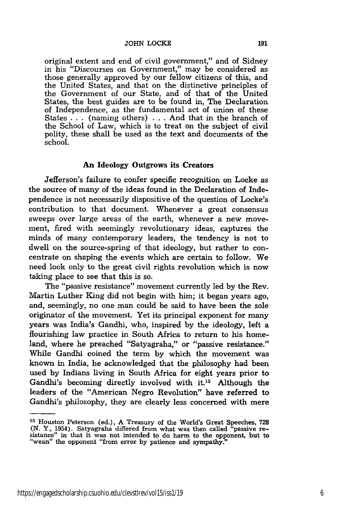original extent and end of civil government," and of Sidney in his "Discourses on Government," may be considered as those generally approved by our fellow citizens of this, and the United States, and that on the distinctive principles of the Government of our State, and of that of the United States, the best guides are to be found in, The Declaration of Independence, as the fundamental act of union of these States .. . (naming others) . . . And that in the branch of the School of Law, which is to treat on the subject of civil polity, these shall be used as the text and documents of the school.

#### **An** Ideology Outgrows its Creators

Jefferson's failure to confer specific recognition on Locke as the source of many of the ideas found in the Declaration of Independence is not necessarily dispositive of the question of Locke's contribution to that document. Whenever a great consensus sweeps over large areas of the earth, whenever a new movement, fired with seemingly revolutionary ideas, captures the minds of many contemporary leaders, the tendency is not to dwell on the source-spring of that ideology, but rather to concentrate on shaping the events which are certain to follow. We need look only to the great civil rights revolution which is now taking place to see that this is so.

The "passive resistance" movement currently led by the Rev. Martin Luther King did not begin with him; it began years ago, and, seemingly, no one man could be said to have been the sole originator of the movement. Yet its principal exponent for many years was India's Gandhi, who, inspired by the ideology, left a flourishing law practice in South Africa to return to his homeland, where he preached "Satyagraha," or "passive resistance." While Gandhi coined the term by which the movement was known in India, he acknowledged that the philosophy had been used by Indians living in South Africa for eight years prior to Gandhi's becoming directly involved with it.15 Although the leaders of the "American Negro Revolution" have referred to Gandhi's philosophy, they are clearly less concerned with mere

**<sup>15</sup>**Houston Peterson (ed.), A Treasury of the World's Great Speeches, **728 (N.** Y., 1954). Satyagraha differed from what was then called "passive re- sistance" in that it was not intended to do harm to the opponent, but to "wean" the opponent "from error by patience and sympathy."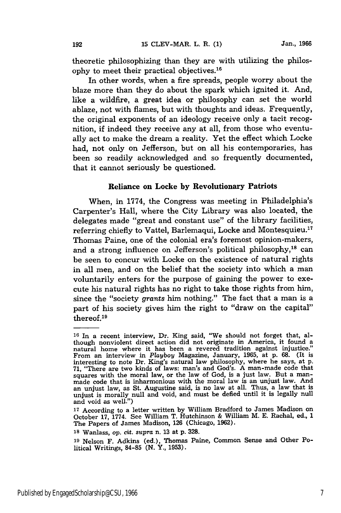theoretic philosophizing than they are with utilizing the philosophy to meet their practical objectives.'6

In other words, when a fire spreads, people worry about the blaze more than they do about the spark which ignited it. And, like a wildfire, a great idea or philosophy can set the world ablaze, not with flames, but with thoughts and ideas. Frequently, the original exponents of an ideology receive only a tacit recognition, if indeed they receive any at all, from those who eventually act to make the dream a reality. Yet the effect which Locke had, not only on Jefferson, but on all his contemporaries, has been so readily acknowledged and so frequently documented, that it cannot seriously be questioned.

#### Reliance **on Locke by** Revolutionary Patriots

When, in 1774, the Congress was meeting in Philadelphia's Carpenter's Hall, where the City Library was also located, the delegates made "great and constant use" of the library facilities, referring chiefly to Vattel, Barlemaqui, Locke and Montesquieu.<sup>11</sup> Thomas Paine, one of the colonial era's foremost opinion-makers, and a strong influence on Jefferson's political philosophy,<sup>18</sup> can be seen to concur with Locke on the existence of natural rights in all men, and on the belief that the society into which a man voluntarily enters for the purpose of gaining the power to execute his natural rights has no right to take those rights from him, since the "society grants him nothing." The fact that a man is a part of his society gives him the right to "draw on the capital" thereof.<sup>19</sup>

**<sup>16</sup>** In a recent interview, Dr. King said, "We should not forget that, although nonviolent direct action did not originate in America, it found a natural home where it has been a revered tradition against injustice." From an interview in *Playboy* Magazine, January, 1965, at p. **68.** (It is interesting to note Dr. King's natural law philosophy, where he says, at p. 71, "There are two kinds of laws: man's and God's. A man-made code that squares with the moral law, or the law of God, is a just law. But a manmade code that is inharmonious with the moral law is an unjust law. And an unjust law, as St. Augustine said, is no law at all. Thus, a law that is unjust is morally null and void, and must be defied until it is legally null and void as well.")

**<sup>17</sup>**According to a letter written by William Bradford to James Madison on October 17, 1774. See William T. Hutchinson & William M. E. Rachal, ed., 1 The Papers of James Madison, **126** (Chicago, 1962).

**Is** Wanlass, op. cit. *supra* n. 13 at p. **328.**

**<sup>19</sup>** Nelson F. Adkins (ed.), Thomas Paine, Common Sense and Other Political Writings, 84-85 **(N.** Y., 1953).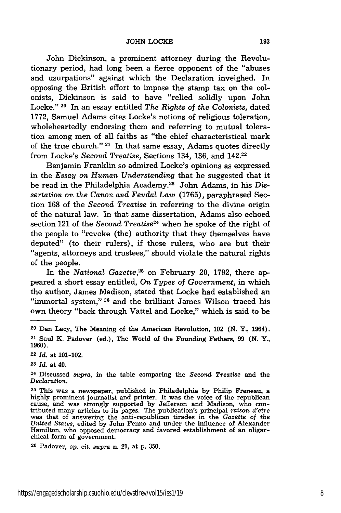John Dickinson, a prominent attorney during the Revolutionary period, had long been a fierce opponent of the "abuses and usurpations" against which the Declaration inveighed. In opposing the British effort to impose the stamp tax on the colonists, Dickinson is said to have "relied solidly upon John Locke." 20 In an essay entitled *The Rights of the Colonists,* dated 1772, Samuel Adams cites Locke's notions of religious toleration, wholeheartedly endorsing them and referring to mutual toleration among men of all faiths as "the chief characteristical mark of the true church." 21 In that same essay, Adams quotes directly from Locke's Second *Treatise,* Sections 134, 136, and 142.22

Benjamin Franklin so admired Locke's opinions as expressed in the *Essay on Human Understanding* that he suggested that it be read in the Philadelphia Academy.<sup>23</sup> John Adams, in his Dis*sertation on the Canon and Feudal Law* (1765), paraphrased Section 168 of the *Second Treatise* in referring to the divine origin of the natural law. In that same dissertation, Adams also echoed section 121 of the *Second Treatise24* when he spoke of the right of the people to "revoke (the) authority that they themselves have deputed" (to their rulers), if those rulers, who are but their "agents, attorneys and trustees," should violate the natural rights of the people.

In the *National Gazette,25* on February 20, 1792, there appeared a short essay entitled, *On Types of Government,* in which the author, James Madison, stated that Locke had established an "immortal system,"<sup>26</sup> and the brilliant James Wilson traced his own theory "back through Vattel and Locke," which is said to be

**<sup>22</sup>***Id.* at 101-102.

**<sup>23</sup>***Id.* at 40.

**<sup>24</sup>**Discussed *supra,* in the table comparing the *Second Treatise* and the *Declaration.*

**<sup>25</sup>**This was a newspaper, published in Philadelphia by Philip Freneau, a highly prominent journalist and printer. It was the voice of the republican cause, and was strongly supported by Jefferson and Madison, who contributed many articles to its pages. The publication's principal raison d'etre was that of answering the anti-republican tirades in the Gazette of the *United States,* edited by John Fenno and under the influence of Alexander Hamilton, who opposed democracy and favored establishment of an oligarchical form of government.

**<sup>26</sup>**Padover, op. cit. supra n. 21, at p. 350.

<sup>20</sup> Dan Lacy, The Meaning of the American Revolution, 102 **(N.** Y., 1964). **<sup>21</sup>**Saul K. Padover (ed.), The World of the Founding Fathers, **99 (N.** Y., **1960).**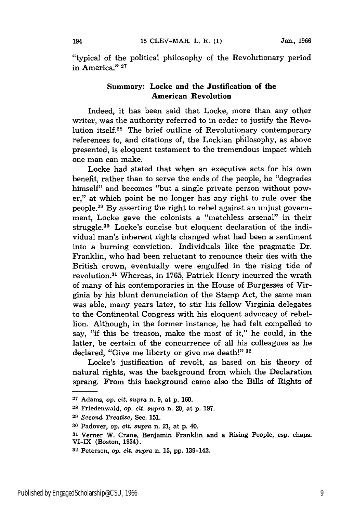"typical of the political philosophy of the Revolutionary period in America." **<sup>27</sup>**

#### Summary: **Locke and the Justification of the American Revolution**

**Indeed,** it has been said that Locke, more than any other writer, was the authority referred to in order to justify the Revolution itself.28 The brief outline of Revolutionary contemporary references to, and citations of, the Lockian philosophy, as above presented, is eloquent testament to the tremendous impact which one man can make.

Locke had stated that when an executive acts for his own benefit, rather than to serve the ends of the people, he "degrades himself" and becomes "but a single private person without power," at which point he no longer has any right to rule over the people. 29 By asserting the right to rebel against an unjust government, Locke gave the colonists a "matchless arsenal" in their struggle.30 Locke's concise but eloquent declaration of the individual man's inherent rights changed what had been a sentiment into a burning conviction. Individuals like the pragmatic Dr. Franklin, who had been reluctant to renounce their ties with the British crown, eventually were engulfed in the rising tide of revolution.<sup>31</sup> Whereas, in 1765, Patrick Henry incurred the wrath of many of his contemporaries in the House of Burgesses of Virginia by his blunt denunciation of the Stamp Act, the same man was able, many years later, to stir his fellow Virginia delegates to the Continental Congress with his eloquent advocacy of rebellion. Although, in the former instance, he had felt compelled to say, **"if** this be treason, make the most of it," he could, in the latter, be certain of the concurrence of all his colleagues as he declared, "Give me liberty or give me death!" **<sup>32</sup>**

Locke's justification of revolt, as based on his theory of natural rights, was the background from which the Declaration sprang. From this background came also the Bills of Rights of

**<sup>27</sup>**Adams, *op. cit. supra* n. 9, at p. 160.

**<sup>28</sup>**Friedenwald, op. cit. *supra* n. 20, at p. 197.

**<sup>29</sup>***Second Treatise,* Sec. **151.**

**<sup>30</sup>**Padover, *op. cit. supra* n. 21, at p. 40.

**<sup>31</sup>**Verner W. Crane, Benjamin Franklin and a Rising People, esp. chaps. VI-IX (Boston, 1954).

**<sup>32</sup>**Peterson, *op.* cit. *supra* n. **15,** pp. 139-142.